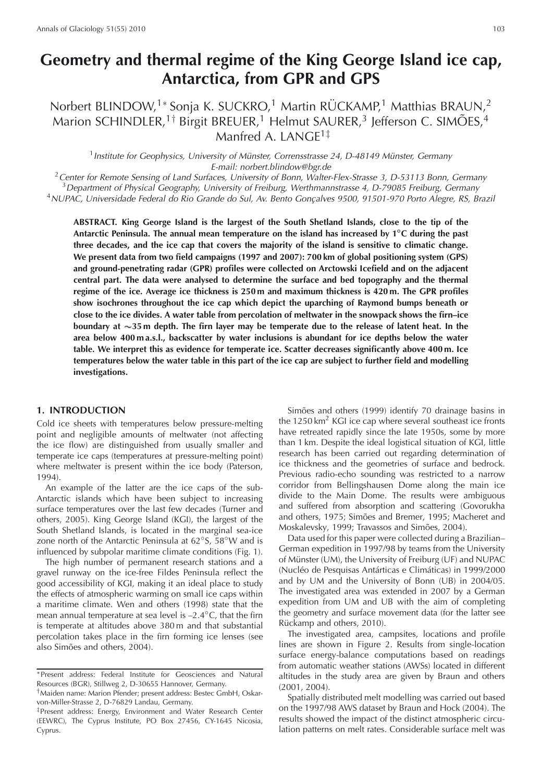# **Geometry and thermal regime of the King George Island ice cap, Antarctica, from GPR and GPS**

# Norbert BLINDOW,<sup>1</sup><sup>∗</sup> Sonja K. SUCKRO,<sup>1</sup> Martin RÜCKAMP,<sup>1</sup> Matthias BRAUN,<sup>2</sup> Marion SCHINDLER,<sup>1†</sup> Birgit BREUER,<sup>1</sup> Helmut SAURER,<sup>3</sup> Jefferson C. SIMOES,<sup>4</sup> Manfred A. LANGE1‡

<sup>1</sup> Institute for Geophysics, University of Münster, Corrensstrasse 24, D-48149 Münster, Germany E-mail: norbert.blindow@bgr.de

<sup>2</sup> Center for Remote Sensing of Land Surfaces, University of Bonn, Walter-Flex-Strasse 3, D-53113 Bonn, Germany  $3$ Department of Physical Geography, University of Freiburg, Werthmannstrasse 4, D-79085 Freiburg, Germany <sup>4</sup>NUPAC, Universidade Federal do Rio Grande do Sul, Av. Bento Goncalves 9500, 91501-970 Porto Alegre, RS, Brazil

**ABSTRACT. King George Island is the largest of the South Shetland Islands, close to the tip of the Antarctic Peninsula. The annual mean temperature on the island has increased by 1**◦**C during the past three decades, and the ice cap that covers the majority of the island is sensitive to climatic change. We present data from two field campaigns (1997 and 2007): 700 km of global positioning system (GPS) and ground-penetrating radar (GPR) profiles were collected on Arctowski Icefield and on the adjacent central part. The data were analysed to determine the surface and bed topography and the thermal regime of the ice. Average ice thickness is 250 m and maximum thickness is 420 m. The GPR profiles show isochrones throughout the ice cap which depict the uparching of Raymond bumps beneath or close to the ice divides. A water table from percolation of meltwater in the snowpack shows the firn–ice boundary at** ∼∼**35 m depth. The firn layer may be temperate due to the release of latent heat. In the area below 400 m a.s.l., backscatter by water inclusions is abundant for ice depths below the water table. We interpret this as evidence for temperate ice. Scatter decreases significantly above 400 m. Ice temperatures below the water table in this part of the ice cap are subject to further field and modelling investigations.**

#### **1. INTRODUCTION**

Cold ice sheets with temperatures below pressure-melting point and negligible amounts of meltwater (not affecting the ice flow) are distinguished from usually smaller and temperate ice caps (temperatures at pressure-melting point) where meltwater is present within the ice body (Paterson, 1994).

An example of the latter are the ice caps of the sub-Antarctic islands which have been subject to increasing surface temperatures over the last few decades (Turner and others, 2005). King George Island (KGI), the largest of the South Shetland Islands, is located in the marginal sea-ice zone north of the Antarctic Peninsula at 62◦S, 58◦W and is influenced by subpolar maritime climate conditions (Fig. 1).

The high number of permanent research stations and a gravel runway on the ice-free Fildes Peninsula reflect the good accessibility of KGI, making it an ideal place to study the effects of atmospheric warming on small ice caps within a maritime climate. Wen and others (1998) state that the mean annual temperature at sea level is –2.4◦C, that the firn is temperate at altitudes above 380 m and that substantial percolation takes place in the firn forming ice lenses (see also Simões and others, 2004).

Simões and others (1999) identify 70 drainage basins in the  $1250 \text{ km}^2$  KGI ice cap where several southeast ice fronts have retreated rapidly since the late 1950s, some by more than 1 km. Despite the ideal logistical situation of KGI, little research has been carried out regarding determination of ice thickness and the geometries of surface and bedrock. Previous radio-echo sounding was restricted to a narrow corridor from Bellingshausen Dome along the main ice divide to the Main Dome. The results were ambiguous and suffered from absorption and scattering (Govorukha and others, 1975; Simões and Bremer, 1995; Macheret and Moskalevsky, 1999; Travassos and Simões, 2004).

Data used for this paper were collected during a Brazilian– German expedition in 1997/98 by teams from the University of Münster (UM), the University of Freiburg (UF) and NUPAC (Nucléo de Pesquisas Antárticas e Climáticas) in 1999/2000 and by UM and the University of Bonn (UB) in 2004/05. The investigated area was extended in 2007 by a German expedition from UM and UB with the aim of completing the geometry and surface movement data (for the latter see Rückamp and others, 2010).

The investigated area, campsites, locations and profile lines are shown in Figure 2. Results from single-location surface energy-balance computations based on readings from automatic weather stations (AWSs) located in different altitudes in the study area are given by Braun and others (2001, 2004).

Spatially distributed melt modelling was carried out based on the 1997/98 AWS dataset by Braun and Hock (2004). The results showed the impact of the distinct atmospheric circulation patterns on melt rates. Considerable surface melt was

<sup>∗</sup>Present address: Federal Institute for Geosciences and Natural Resources (BGR), Stillweg 2, D-30655 Hannover, Germany.

<sup>†</sup>Maiden name: Marion Pfender; present address: Bestec GmbH, Oskarvon-Miller-Strasse 2, D-76829 Landau, Germany.

<sup>‡</sup>Present address: Energy, Environment and Water Research Center (EEWRC), The Cyprus Institute, PO Box 27456, CY-1645 Nicosia, Cyprus.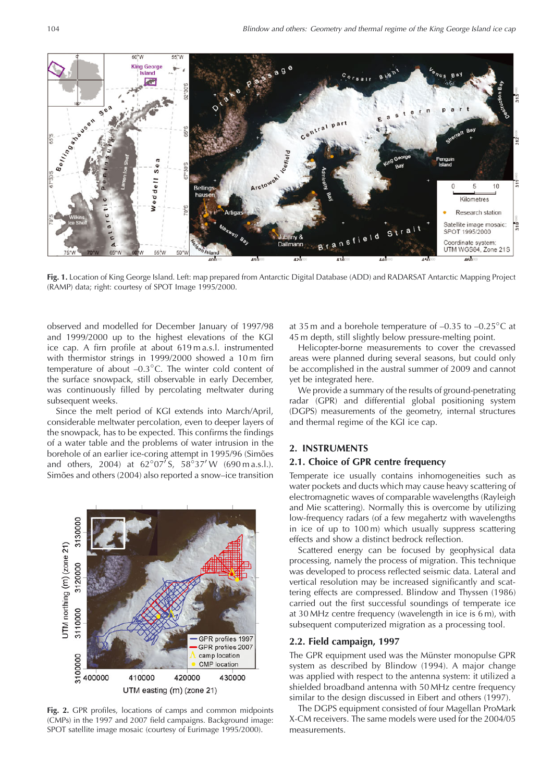

**Fig. 1.** Location of King George Island. Left: map prepared from Antarctic Digital Database (ADD) and RADARSAT Antarctic Mapping Project (RAMP) data; right: courtesy of SPOT Image 1995/2000.

observed and modelled for December January of 1997/98 and 1999/2000 up to the highest elevations of the KGI ice cap. A firn profile at about 619 m a.s.l. instrumented with thermistor strings in 1999/2000 showed a 10m firn temperature of about  $-0.3<sup>°</sup>C$ . The winter cold content of the surface snowpack, still observable in early December, was continuously filled by percolating meltwater during subsequent weeks.

Since the melt period of KGI extends into March/April, considerable meltwater percolation, even to deeper layers of the snowpack, has to be expected. This confirms the findings of a water table and the problems of water intrusion in the borehole of an earlier ice-coring attempt in 1995/96 (Simões and others, 2004) at  $62°07'$ S,  $58°37'$ W (690 m a.s.l.). Simões and others (2004) also reported a snow–ice transition



**Fig. 2.** GPR profiles, locations of camps and common midpoints (CMPs) in the 1997 and 2007 field campaigns. Background image: SPOT satellite image mosaic (courtesy of Eurimage 1995/2000).

at 35 m and a borehole temperature of  $-0.35$  to  $-0.25^{\circ}$ C at 45 m depth, still slightly below pressure-melting point.

Helicopter-borne measurements to cover the crevassed areas were planned during several seasons, but could only be accomplished in the austral summer of 2009 and cannot yet be integrated here.

We provide a summary of the results of ground-penetrating radar (GPR) and differential global positioning system (DGPS) measurements of the geometry, internal structures and thermal regime of the KGI ice cap.

# **2. INSTRUMENTS**

# **2.1. Choice of GPR centre frequency**

Temperate ice usually contains inhomogeneities such as water pockets and ducts which may cause heavy scattering of electromagnetic waves of comparable wavelengths (Rayleigh and Mie scattering). Normally this is overcome by utilizing low-frequency radars (of a few megahertz with wavelengths in ice of up to 100 m) which usually suppress scattering effects and show a distinct bedrock reflection.

Scattered energy can be focused by geophysical data processing, namely the process of migration. This technique was developed to process reflected seismic data. Lateral and vertical resolution may be increased significantly and scattering effects are compressed. Blindow and Thyssen (1986) carried out the first successful soundings of temperate ice at 30 MHz centre frequency (wavelength in ice is 6 m), with subsequent computerized migration as a processing tool.

#### **2.2. Field campaign, 1997**

The GPR equipment used was the Münster monopulse GPR system as described by Blindow (1994). A major change was applied with respect to the antenna system: it utilized a shielded broadband antenna with 50 MHz centre frequency similar to the design discussed in Eibert and others (1997).

The DGPS equipment consisted of four Magellan ProMark X-CM receivers. The same models were used for the 2004/05 measurements.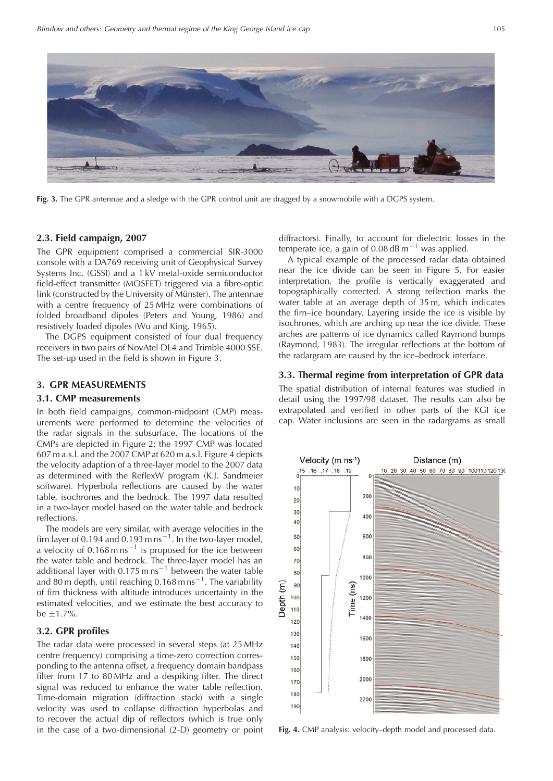

**Fig. 3.** The GPR antennae and a sledge with the GPR control unit are dragged by a snowmobile with a DGPS system.

### **2.3. Field campaign, 2007**

The GPR equipment comprised a commercial SIR-3000 console with a DA769 receiving unit of Geophysical Survey Systems Inc. (GSSI) and a 1 kV metal-oxide semiconductor field-effect transmitter (MOSFET) triggered via a fibre-optic link (constructed by the University of Münster). The antennae with a centre frequency of 25 MHz were combinations of folded broadband dipoles (Peters and Young, 1986) and resistively loaded dipoles (Wu and King, 1965).

The DGPS equipment consisted of four dual frequency receivers in two pairs of NovAtel DL4 and Trimble 4000 SSE. The set-up used in the field is shown in Figure 3.

#### **3. GPR MEASUREMENTS**

#### **3.1. CMP measurements**

In both field campaigns, common-midpoint (CMP) measurements were performed to determine the velocities of the radar signals in the subsurface. The locations of the CMPs are depicted in Figure 2; the 1997 CMP was located 607 m a.s.l. and the 2007 CMP at 620 m a.s.l. Figure 4 depicts the velocity adaption of a three-layer model to the 2007 data as determined with the ReflexW program (K.J. Sandmeier software). Hyperbola reflections are caused by the water table, isochrones and the bedrock. The 1997 data resulted in a two-layer model based on the water table and bedrock reflections.

The models are very similar, with average velocities in the firn layer of 0.194 and 0.193 m ns<sup>-1</sup>. In the two-layer model, a velocity of  $0.168 \text{ m} \text{ ns}^{-1}$  is proposed for the ice between the water table and bedrock. The three-layer model has an additional layer with  $0.175$  m ns<sup>-1</sup> between the water table and 80 m depth, until reaching  $0.168$  m ns<sup>-1</sup>. The variability of firn thickness with altitude introduces uncertainty in the estimated velocities, and we estimate the best accuracy to be  $\pm 1.7%$ .

#### **3.2. GPR profiles**

The radar data were processed in several steps (at 25 MHz centre frequency) comprising a time-zero correction corresponding to the antenna offset, a frequency domain bandpass filter from 17 to 80 MHz and a despiking filter. The direct signal was reduced to enhance the water table reflection. Time-domain migration (diffraction stack) with a single velocity was used to collapse diffraction hyperbolas and to recover the actual dip of reflectors (which is true only in the case of a two-dimensional (2-D) geometry or point diffractors). Finally, to account for dielectric losses in the temperate ice, a gain of  $0.08$  dB m<sup>-1</sup> was applied.

A typical example of the processed radar data obtained near the ice divide can be seen in Figure 5. For easier interpretation, the profile is vertically exaggerated and topographically corrected. A strong reflection marks the water table at an average depth of 35 m, which indicates the firn–ice boundary. Layering inside the ice is visible by isochrones, which are arching up near the ice divide. These arches are patterns of ice dynamics called Raymond bumps (Raymond, 1983). The irregular reflections at the bottom of the radargram are caused by the ice–bedrock interface.

#### **3.3. Thermal regime from interpretation of GPR data**

The spatial distribution of internal features was studied in detail using the 1997/98 dataset. The results can also be extrapolated and verified in other parts of the KGI ice cap. Water inclusions are seen in the radargrams as small



**Fig. 4.** CMP analysis: velocity–depth model and processed data.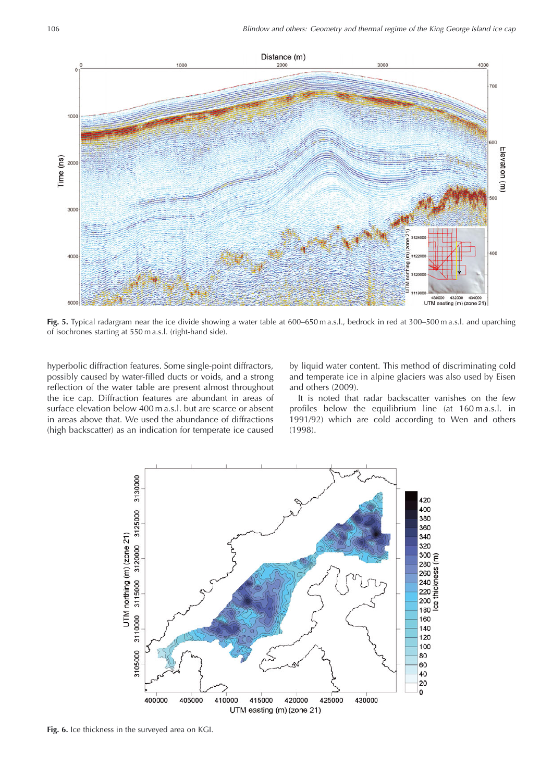

**Fig. 5.** Typical radargram near the ice divide showing a water table at 600–650 m a.s.l., bedrock in red at 300–500 m a.s.l. and uparching of isochrones starting at 550 m a.s.l. (right-hand side).

hyperbolic diffraction features. Some single-point diffractors, possibly caused by water-filled ducts or voids, and a strong reflection of the water table are present almost throughout the ice cap. Diffraction features are abundant in areas of surface elevation below 400 m a.s.l. but are scarce or absent in areas above that. We used the abundance of diffractions (high backscatter) as an indication for temperate ice caused

by liquid water content. This method of discriminating cold and temperate ice in alpine glaciers was also used by Eisen and others (2009).

It is noted that radar backscatter vanishes on the few profiles below the equilibrium line (at 160 m a.s.l. in 1991/92) which are cold according to Wen and others (1998).



**Fig. 6.** Ice thickness in the surveyed area on KGI.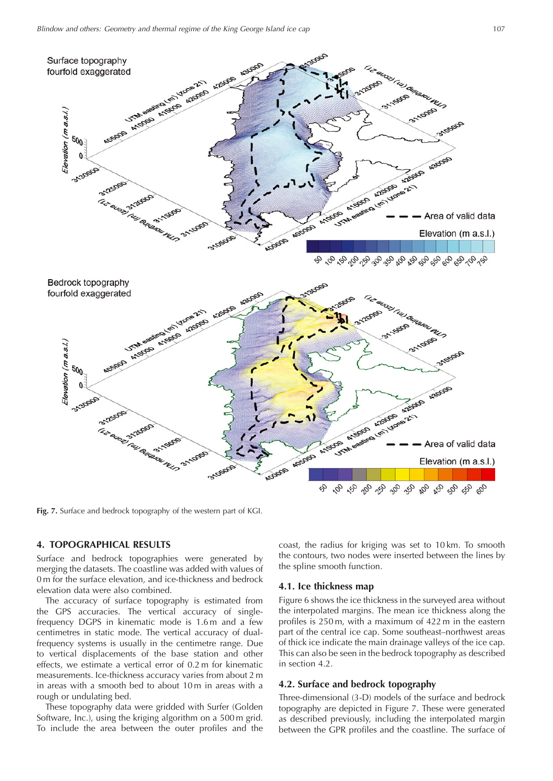

**Fig. 7.** Surface and bedrock topography of the western part of KGI.

# **4. TOPOGRAPHICAL RESULTS**

Surface and bedrock topographies were generated by merging the datasets. The coastline was added with values of 0 m for the surface elevation, and ice-thickness and bedrock elevation data were also combined.

The accuracy of surface topography is estimated from the GPS accuracies. The vertical accuracy of singlefrequency DGPS in kinematic mode is 1.6 m and a few centimetres in static mode. The vertical accuracy of dualfrequency systems is usually in the centimetre range. Due to vertical displacements of the base station and other effects, we estimate a vertical error of 0.2 m for kinematic measurements. Ice-thickness accuracy varies from about 2 m in areas with a smooth bed to about 10 m in areas with a rough or undulating bed.

These topography data were gridded with Surfer (Golden Software, Inc.), using the kriging algorithm on a 500 m grid. To include the area between the outer profiles and the coast, the radius for kriging was set to 10 km. To smooth the contours, two nodes were inserted between the lines by the spline smooth function.

#### **4.1. Ice thickness map**

Figure 6 shows the ice thickness in the surveyed area without the interpolated margins. The mean ice thickness along the profiles is 250 m, with a maximum of 422 m in the eastern part of the central ice cap. Some southeast–northwest areas of thick ice indicate the main drainage valleys of the ice cap. This can also be seen in the bedrock topography as described in section 4.2.

# **4.2. Surface and bedrock topography**

Three-dimensional (3-D) models of the surface and bedrock topography are depicted in Figure 7. These were generated as described previously, including the interpolated margin between the GPR profiles and the coastline. The surface of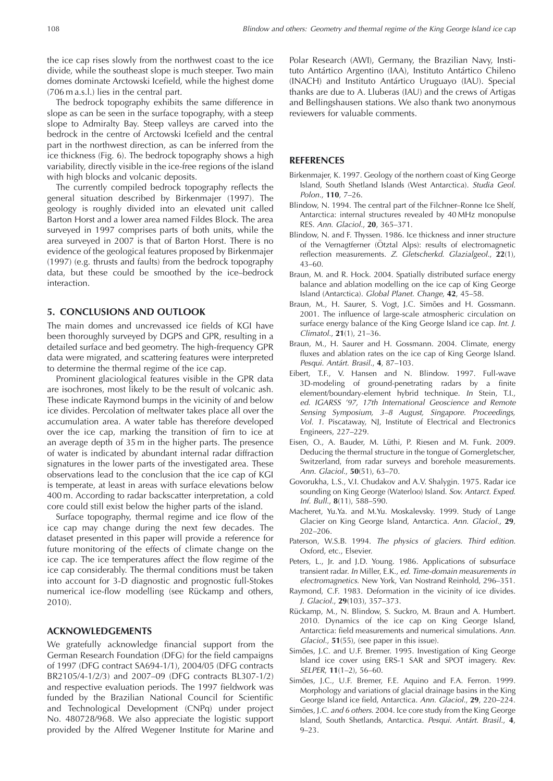the ice cap rises slowly from the northwest coast to the ice divide, while the southeast slope is much steeper. Two main domes dominate Arctowski Icefield, while the highest dome (706 m a.s.l.) lies in the central part.

The bedrock topography exhibits the same difference in slope as can be seen in the surface topography, with a steep slope to Admiralty Bay. Steep valleys are carved into the bedrock in the centre of Arctowski Icefield and the central part in the northwest direction, as can be inferred from the ice thickness (Fig. 6). The bedrock topography shows a high variability, directly visible in the ice-free regions of the island with high blocks and volcanic deposits.

The currently compiled bedrock topography reflects the general situation described by Birkenmajer (1997). The geology is roughly divided into an elevated unit called Barton Horst and a lower area named Fildes Block. The area surveyed in 1997 comprises parts of both units, while the area surveyed in 2007 is that of Barton Horst. There is no evidence of the geological features proposed by Birkenmajer (1997) (e.g. thrusts and faults) from the bedrock topography data, but these could be smoothed by the ice–bedrock interaction.

# **5. CONCLUSIONS AND OUTLOOK**

The main domes and uncrevassed ice fields of KGI have been thoroughly surveyed by DGPS and GPR, resulting in a detailed surface and bed geometry. The high-frequency GPR data were migrated, and scattering features were interpreted to determine the thermal regime of the ice cap.

Prominent glaciological features visible in the GPR data are isochrones, most likely to be the result of volcanic ash. These indicate Raymond bumps in the vicinity of and below ice divides. Percolation of meltwater takes place all over the accumulation area. A water table has therefore developed over the ice cap, marking the transition of firn to ice at an average depth of 35 m in the higher parts. The presence of water is indicated by abundant internal radar diffraction signatures in the lower parts of the investigated area. These observations lead to the conclusion that the ice cap of KGI is temperate, at least in areas with surface elevations below 400 m. According to radar backscatter interpretation, a cold core could still exist below the higher parts of the island.

Surface topography, thermal regime and ice flow of the ice cap may change during the next few decades. The dataset presented in this paper will provide a reference for future monitoring of the effects of climate change on the ice cap. The ice temperatures affect the flow regime of the ice cap considerably. The thermal conditions must be taken into account for 3-D diagnostic and prognostic full-Stokes numerical ice-flow modelling (see Rückamp and others, 2010).

### **ACKNOWLEDGEMENTS**

We gratefully acknowledge financial support from the German Research Foundation (DFG) for the field campaigns of 1997 (DFG contract SA694-1/1), 2004/05 (DFG contracts BR2105/4-1/2/3) and 2007–09 (DFG contracts BL307-1/2) and respective evaluation periods. The 1997 fieldwork was funded by the Brazilian National Council for Scientific and Technological Development (CNPq) under project No. 480728/968. We also appreciate the logistic support provided by the Alfred Wegener Institute for Marine and

Polar Research (AWI), Germany, the Brazilian Navy, Instituto Antártico Argentino (IAA), Instituto Antártico Chileno (INACH) and Instituto Antartico Uruguayo (IAU). Special ´ thanks are due to A. Lluberas (IAU) and the crews of Artigas and Bellingshausen stations. We also thank two anonymous reviewers for valuable comments.

#### **REFERENCES**

- Birkenmajer, K. 1997. Geology of the northern coast of King George Island, South Shetland Islands (West Antarctica). Studia Geol. Polon., **110**, 7–26.
- Blindow, N. 1994. The central part of the Filchner–Ronne Ice Shelf, Antarctica: internal structures revealed by 40 MHz monopulse RES. Ann. Glaciol., **20**, 365–371.
- Blindow, N. and F. Thyssen. 1986. Ice thickness and inner structure of the Vernagtferner (Otztal Alps): results of electromagnetic reflection measurements. Z. Gletscherkd. Glazialgeol., **22**(1), 43–60.
- Braun, M. and R. Hock. 2004. Spatially distributed surface energy balance and ablation modelling on the ice cap of King George Island (Antarctica). Global Planet. Change, **42**, 45–58.
- Braun, M., H. Saurer, S. Vogt, J.C. Simões and H. Gossmann. 2001. The influence of large-scale atmospheric circulation on surface energy balance of the King George Island ice cap. Int. J. Climatol., **21**(1), 21–36.
- Braun, M., H. Saurer and H. Gossmann. 2004. Climate, energy fluxes and ablation rates on the ice cap of King George Island. Pesqui. Antárt. Brasil., 4, 87-103.
- Eibert, T.F., V. Hansen and N. Blindow. 1997. Full-wave 3D-modeling of ground-penetrating radars by a finite element/boundary-element hybrid technique. In Stein, T.I., ed. IGARSS '97, 17th International Geoscience and Remote Sensing Symposium, 3–8 August, Singapore. Proceedings, Vol. 1. Piscataway, NJ, Institute of Electrical and Electronics Engineers, 227–229.
- Eisen, O., A. Bauder, M. Lüthi, P. Riesen and M. Funk. 2009. Deducing the thermal structure in the tongue of Gornergletscher, Switzerland, from radar surveys and borehole measurements. Ann. Glaciol., **50**(51), 63–70.
- Govorukha, L.S., V.I. Chudakov and A.V. Shalygin. 1975. Radar ice sounding on King George (Waterloo) Island. Sov. Antarct. Exped. Inf. Bull., **8**(11), 588–590.
- Macheret, Yu.Ya. and M.Yu. Moskalevsky. 1999. Study of Lange Glacier on King George Island, Antarctica. Ann. Glaciol., **29**, 202–206.
- Paterson, W.S.B. 1994. The physics of glaciers. Third edition. Oxford, etc., Elsevier.
- Peters, L., Jr. and J.D. Young. 1986. Applications of subsurface transient radar. In Miller, E.K., ed. Time-domain measurements in electromagnetics. New York, Van Nostrand Reinhold, 296–351.
- Raymond, C.F. 1983. Deformation in the vicinity of ice divides. J. Glaciol., **29**(103), 357–373.
- Rückamp, M., N. Blindow, S. Suckro, M. Braun and A. Humbert. 2010. Dynamics of the ice cap on King George Island, Antarctica: field measurements and numerical simulations. Ann. Glaciol., **51**(55), (see paper in this issue).
- Simões, J.C. and U.F. Bremer. 1995. Investigation of King George Island ice cover using ERS-1 SAR and SPOT imagery. Rev. SELPER, **11**(1–2), 56–60.
- Simões, J.C., U.F. Bremer, F.E. Aquino and F.A. Ferron. 1999. Morphology and variations of glacial drainage basins in the King George Island ice field, Antarctica. Ann. Glaciol., **29**, 220–224.
- Simões, J.C. and 6 others. 2004. Ice core study from the King George Island, South Shetlands, Antarctica. Pesqui. Antárt. Brasil., 4,  $9 - 23$